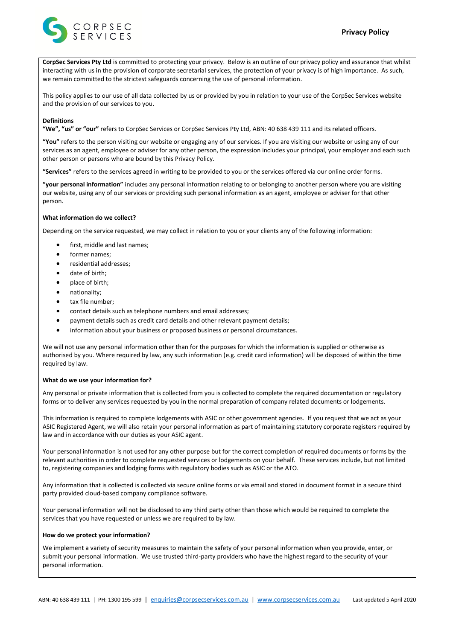

**CorpSec Services Pty Ltd** is committed to protecting your privacy. Below is an outline of our privacy policy and assurance that whilst interacting with us in the provision of corporate secretarial services, the protection of your privacy is of high importance. As such, we remain committed to the strictest safeguards concerning the use of personal information.

This policy applies to our use of all data collected by us or provided by you in relation to your use of the CorpSec Services website and the provision of our services to you.

### **Definitions**

**"We", "us" or "our"** refers to CorpSec Services or CorpSec Services Pty Ltd, ABN: 40 638 439 111 and its related officers.

**"You"** refers to the person visiting our website or engaging any of our services. If you are visiting our website or using any of our services as an agent, employee or adviser for any other person, the expression includes your principal, your employer and each such other person or persons who are bound by this Privacy Policy.

**"Services"** refers to the services agreed in writing to be provided to you or the services offered via our online order forms.

**"your personal information"** includes any personal information relating to or belonging to another person where you are visiting our website, using any of our services or providing such personal information as an agent, employee or adviser for that other person.

# **What information do we collect?**

Depending on the service requested, we may collect in relation to you or your clients any of the following information:

- first, middle and last names;
- former names;
- residential addresses;
- date of birth:
- place of birth;
- nationality;
- tax file number;
- contact details such as telephone numbers and email addresses;
- payment details such as credit card details and other relevant payment details;
- information about your business or proposed business or personal circumstances.

We will not use any personal information other than for the purposes for which the information is supplied or otherwise as authorised by you. Where required by law, any such information (e.g. credit card information) will be disposed of within the time required by law.

### **What do we use your information for?**

Any personal or private information that is collected from you is collected to complete the required documentation or regulatory forms or to deliver any services requested by you in the normal preparation of company related documents or lodgements.

This information is required to complete lodgements with ASIC or other government agencies. If you request that we act as your ASIC Registered Agent, we will also retain your personal information as part of maintaining statutory corporate registers required by law and in accordance with our duties as your ASIC agent.

Your personal information is not used for any other purpose but for the correct completion of required documents or forms by the relevant authorities in order to complete requested services or lodgements on your behalf. These services include, but not limited to, registering companies and lodging forms with regulatory bodies such as ASIC or the ATO.

Any information that is collected is collected via secure online forms or via email and stored in document format in a secure third party provided cloud-based company compliance software.

Your personal information will not be disclosed to any third party other than those which would be required to complete the services that you have requested or unless we are required to by law.

## **How do we protect your information?**

We implement a variety of security measures to maintain the safety of your personal information when you provide, enter, or submit your personal information. We use trusted third-party providers who have the highest regard to the security of your personal information.